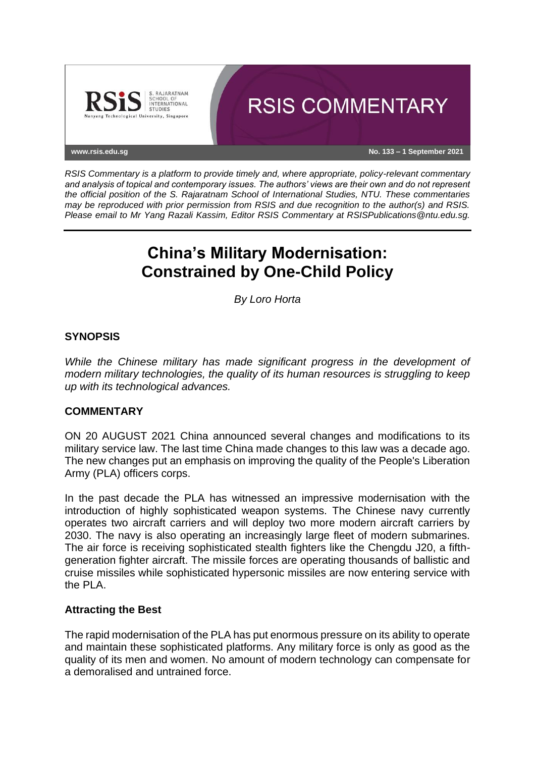

*RSIS Commentary is a platform to provide timely and, where appropriate, policy-relevant commentary and analysis of topical and contemporary issues. The authors' views are their own and do not represent the official position of the S. Rajaratnam School of International Studies, NTU. These commentaries may be reproduced with prior permission from RSIS and due recognition to the author(s) and RSIS. Please email to Mr Yang Razali Kassim, Editor RSIS Commentary at RSISPublications@ntu.edu.sg.*

# **China's Military Modernisation: Constrained by One-Child Policy**

*By Loro Horta*

## **SYNOPSIS**

*While the Chinese military has made significant progress in the development of modern military technologies, the quality of its human resources is struggling to keep up with its technological advances.*

#### **COMMENTARY**

ON 20 AUGUST 2021 China announced several changes and modifications to its military service law. The last time China made changes to this law was a decade ago. The new changes put an emphasis on improving the quality of the People's Liberation Army (PLA) officers corps.

In the past decade the PLA has witnessed an impressive modernisation with the introduction of highly sophisticated weapon systems. The Chinese navy currently operates two aircraft carriers and will deploy two more modern aircraft carriers by 2030. The navy is also operating an increasingly large fleet of modern submarines. The air force is receiving sophisticated stealth fighters like the Chengdu J20, a fifthgeneration fighter aircraft. The missile forces are operating thousands of ballistic and cruise missiles while sophisticated hypersonic missiles are now entering service with the PLA.

#### **Attracting the Best**

The rapid modernisation of the PLA has put enormous pressure on its ability to operate and maintain these sophisticated platforms. Any military force is only as good as the quality of its men and women. No amount of modern technology can compensate for a demoralised and untrained force.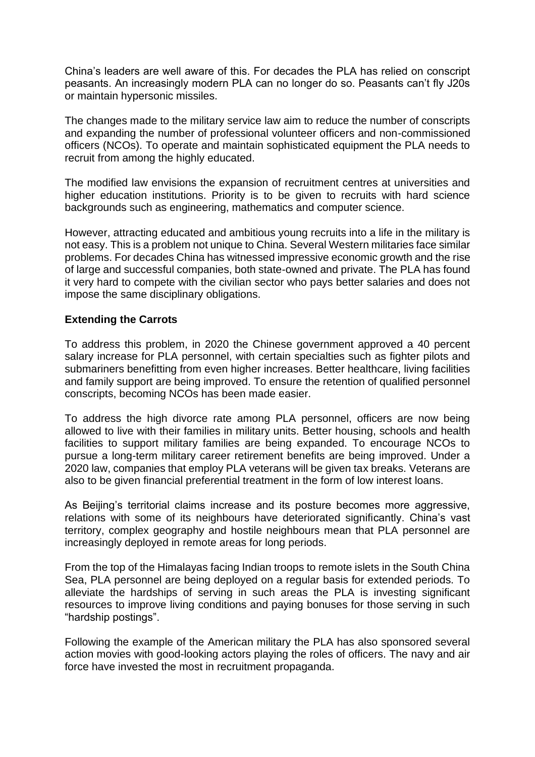China's leaders are well aware of this. For decades the PLA has relied on conscript peasants. An increasingly modern PLA can no longer do so. Peasants can't fly J20s or maintain hypersonic missiles.

The changes made to the military service law aim to reduce the number of conscripts and expanding the number of professional volunteer officers and non-commissioned officers (NCOs). To operate and maintain sophisticated equipment the PLA needs to recruit from among the highly educated.

The modified law envisions the expansion of recruitment centres at universities and higher education institutions. Priority is to be given to recruits with hard science backgrounds such as engineering, mathematics and computer science.

However, attracting educated and ambitious young recruits into a life in the military is not easy. This is a problem not unique to China. Several Western militaries face similar problems. For decades China has witnessed impressive economic growth and the rise of large and successful companies, both state-owned and private. The PLA has found it very hard to compete with the civilian sector who pays better salaries and does not impose the same disciplinary obligations.

### **Extending the Carrots**

To address this problem, in 2020 the Chinese government approved a 40 percent salary increase for PLA personnel, with certain specialties such as fighter pilots and submariners benefitting from even higher increases. Better healthcare, living facilities and family support are being improved. To ensure the retention of qualified personnel conscripts, becoming NCOs has been made easier.

To address the high divorce rate among PLA personnel, officers are now being allowed to live with their families in military units. Better housing, schools and health facilities to support military families are being expanded. To encourage NCOs to pursue a long-term military career retirement benefits are being improved. Under a 2020 law, companies that employ PLA veterans will be given tax breaks. Veterans are also to be given financial preferential treatment in the form of low interest loans.

As Beijing's territorial claims increase and its posture becomes more aggressive, relations with some of its neighbours have deteriorated significantly. China's vast territory, complex geography and hostile neighbours mean that PLA personnel are increasingly deployed in remote areas for long periods.

From the top of the Himalayas facing Indian troops to remote islets in the South China Sea, PLA personnel are being deployed on a regular basis for extended periods. To alleviate the hardships of serving in such areas the PLA is investing significant resources to improve living conditions and paying bonuses for those serving in such "hardship postings".

Following the example of the American military the PLA has also sponsored several action movies with good-looking actors playing the roles of officers. The navy and air force have invested the most in recruitment propaganda.